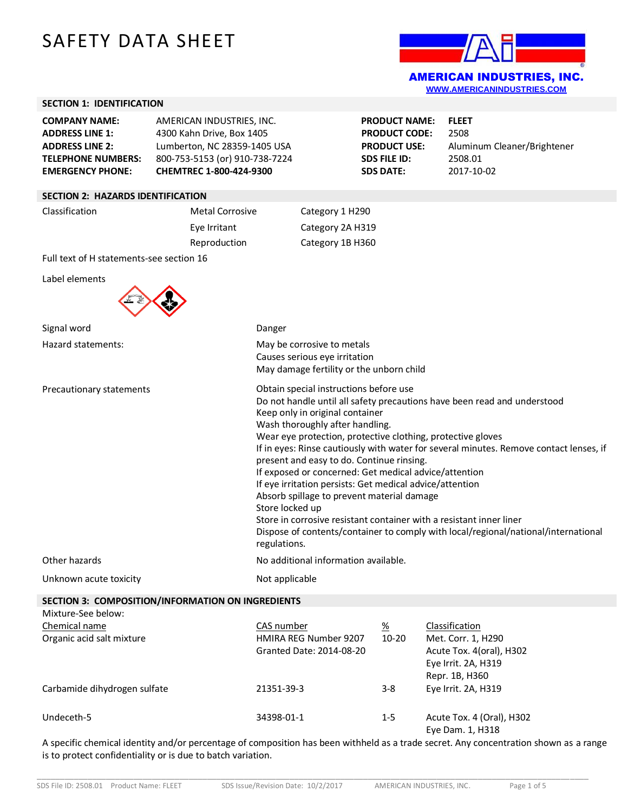# SAFETY DATA SHEET



### **SECTION 1: IDENTIFICATION**

| <b>COMPANY NAME:</b>      | AMERICAN INDUSTRIES, INC.      |
|---------------------------|--------------------------------|
| <b>ADDRESS LINE 1:</b>    | 4300 Kahn Drive, Box 1405      |
| <b>ADDRESS LINE 2:</b>    | Lumberton, NC 28359-1405 USA   |
| <b>TELEPHONE NUMBERS:</b> | 800-753-5153 (or) 910-738-7224 |
| <b>EMERGENCY PHONE:</b>   | CHEMTREC 1-800-424-9300        |

| <b>PRODUCT NAME:</b> | <b>FLEET</b>                |
|----------------------|-----------------------------|
| <b>PRODUCT CODE:</b> | 2508                        |
| <b>PRODUCT USE:</b>  | Aluminum Cleaner/Brightener |
| SDS FILE ID:         | 2508.01                     |
| SDS DATE:            | 2017-10-02                  |

### **SECTION 2: HAZARDS IDENTIFICATION**

| Classification | <b>Metal Corrosive</b> | Category 1 H290  |
|----------------|------------------------|------------------|
|                | Eye Irritant           | Category 2A H319 |
|                | Reproduction           | Category 1B H360 |

Full text of H statements-see section 16

Label elements



| Signal word                                                                                                                                         | Danger                                                                                                                                                                                                                                                                                                                                                                                                                                                                                                                                                                                                                                                                                                                                                            |                              |                                                                                                           |
|-----------------------------------------------------------------------------------------------------------------------------------------------------|-------------------------------------------------------------------------------------------------------------------------------------------------------------------------------------------------------------------------------------------------------------------------------------------------------------------------------------------------------------------------------------------------------------------------------------------------------------------------------------------------------------------------------------------------------------------------------------------------------------------------------------------------------------------------------------------------------------------------------------------------------------------|------------------------------|-----------------------------------------------------------------------------------------------------------|
| Hazard statements:                                                                                                                                  | May be corrosive to metals<br>Causes serious eye irritation<br>May damage fertility or the unborn child                                                                                                                                                                                                                                                                                                                                                                                                                                                                                                                                                                                                                                                           |                              |                                                                                                           |
| Precautionary statements                                                                                                                            | Obtain special instructions before use<br>Do not handle until all safety precautions have been read and understood<br>Keep only in original container<br>Wash thoroughly after handling.<br>Wear eye protection, protective clothing, protective gloves<br>If in eyes: Rinse cautiously with water for several minutes. Remove contact lenses, if<br>present and easy to do. Continue rinsing.<br>If exposed or concerned: Get medical advice/attention<br>If eye irritation persists: Get medical advice/attention<br>Absorb spillage to prevent material damage<br>Store locked up<br>Store in corrosive resistant container with a resistant inner liner<br>Dispose of contents/container to comply with local/regional/national/international<br>regulations. |                              |                                                                                                           |
| Other hazards                                                                                                                                       | No additional information available.                                                                                                                                                                                                                                                                                                                                                                                                                                                                                                                                                                                                                                                                                                                              |                              |                                                                                                           |
| Unknown acute toxicity                                                                                                                              | Not applicable                                                                                                                                                                                                                                                                                                                                                                                                                                                                                                                                                                                                                                                                                                                                                    |                              |                                                                                                           |
| SECTION 3: COMPOSITION/INFORMATION ON INGREDIENTS                                                                                                   |                                                                                                                                                                                                                                                                                                                                                                                                                                                                                                                                                                                                                                                                                                                                                                   |                              |                                                                                                           |
| Mixture-See below:                                                                                                                                  |                                                                                                                                                                                                                                                                                                                                                                                                                                                                                                                                                                                                                                                                                                                                                                   |                              |                                                                                                           |
| Chemical name<br>Organic acid salt mixture                                                                                                          | CAS number<br>HMIRA REG Number 9207<br>Granted Date: 2014-08-20                                                                                                                                                                                                                                                                                                                                                                                                                                                                                                                                                                                                                                                                                                   | $\frac{\%}{\%}$<br>$10 - 20$ | Classification<br>Met. Corr. 1, H290<br>Acute Tox. 4(oral), H302<br>Eye Irrit. 2A, H319<br>Repr. 1B, H360 |
| Carbamide dihydrogen sulfate                                                                                                                        | 21351-39-3                                                                                                                                                                                                                                                                                                                                                                                                                                                                                                                                                                                                                                                                                                                                                        | $3 - 8$                      | Eye Irrit. 2A, H319                                                                                       |
| Undeceth-5<br>A specific chamical identity and/or perceptage of composition bas been withhold as a trade secret. Any separatration shown as a range | 34398-01-1                                                                                                                                                                                                                                                                                                                                                                                                                                                                                                                                                                                                                                                                                                                                                        | $1 - 5$                      | Acute Tox. 4 (Oral), H302<br>Eye Dam. 1, H318                                                             |

A specific chemical identity and/or percentage of composition has been withheld as a trade secret. Any concentration shown as a range is to protect confidentiality or is due to batch variation.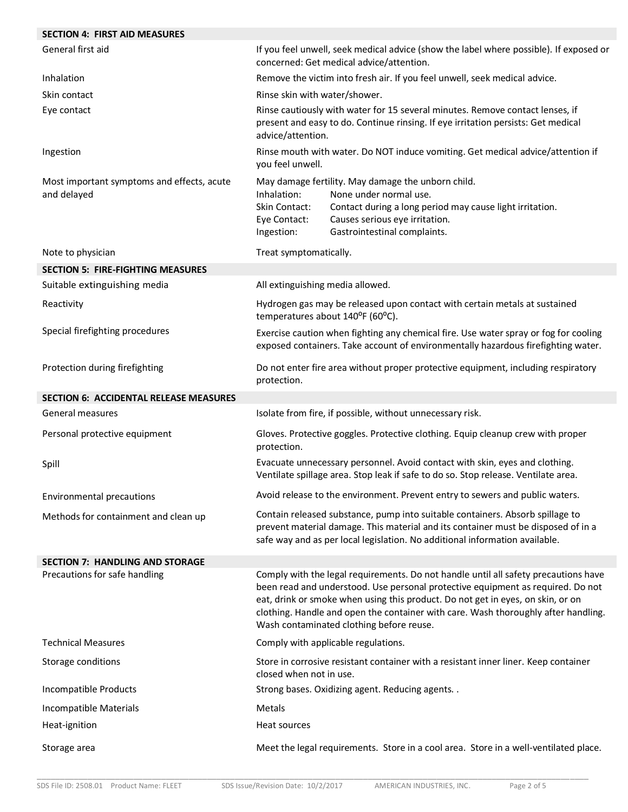| <b>SECTION 4: FIRST AID MEASURES</b>                      |                                                                                                                                                                                         |                                                                                                                                                                                                                                                                                                                                                                                             |  |
|-----------------------------------------------------------|-----------------------------------------------------------------------------------------------------------------------------------------------------------------------------------------|---------------------------------------------------------------------------------------------------------------------------------------------------------------------------------------------------------------------------------------------------------------------------------------------------------------------------------------------------------------------------------------------|--|
| General first aid                                         | If you feel unwell, seek medical advice (show the label where possible). If exposed or<br>concerned: Get medical advice/attention.                                                      |                                                                                                                                                                                                                                                                                                                                                                                             |  |
| Inhalation                                                | Remove the victim into fresh air. If you feel unwell, seek medical advice.                                                                                                              |                                                                                                                                                                                                                                                                                                                                                                                             |  |
| Skin contact                                              | Rinse skin with water/shower.                                                                                                                                                           |                                                                                                                                                                                                                                                                                                                                                                                             |  |
| Eye contact                                               | Rinse cautiously with water for 15 several minutes. Remove contact lenses, if<br>present and easy to do. Continue rinsing. If eye irritation persists: Get medical<br>advice/attention. |                                                                                                                                                                                                                                                                                                                                                                                             |  |
| Ingestion                                                 | Rinse mouth with water. Do NOT induce vomiting. Get medical advice/attention if<br>you feel unwell.                                                                                     |                                                                                                                                                                                                                                                                                                                                                                                             |  |
| Most important symptoms and effects, acute<br>and delayed | Inhalation:<br>Skin Contact:<br>Eye Contact:<br>Ingestion:                                                                                                                              | May damage fertility. May damage the unborn child.<br>None under normal use.<br>Contact during a long period may cause light irritation.<br>Causes serious eye irritation.<br>Gastrointestinal complaints.                                                                                                                                                                                  |  |
| Note to physician                                         | Treat symptomatically.                                                                                                                                                                  |                                                                                                                                                                                                                                                                                                                                                                                             |  |
| <b>SECTION 5: FIRE-FIGHTING MEASURES</b>                  |                                                                                                                                                                                         |                                                                                                                                                                                                                                                                                                                                                                                             |  |
| Suitable extinguishing media                              | All extinguishing media allowed.                                                                                                                                                        |                                                                                                                                                                                                                                                                                                                                                                                             |  |
| Reactivity                                                | temperatures about 140°F (60°C).                                                                                                                                                        | Hydrogen gas may be released upon contact with certain metals at sustained                                                                                                                                                                                                                                                                                                                  |  |
| Special firefighting procedures                           | Exercise caution when fighting any chemical fire. Use water spray or fog for cooling<br>exposed containers. Take account of environmentally hazardous firefighting water.               |                                                                                                                                                                                                                                                                                                                                                                                             |  |
| Protection during firefighting                            | protection.                                                                                                                                                                             | Do not enter fire area without proper protective equipment, including respiratory                                                                                                                                                                                                                                                                                                           |  |
| <b>SECTION 6: ACCIDENTAL RELEASE MEASURES</b>             |                                                                                                                                                                                         |                                                                                                                                                                                                                                                                                                                                                                                             |  |
| General measures                                          |                                                                                                                                                                                         | Isolate from fire, if possible, without unnecessary risk.                                                                                                                                                                                                                                                                                                                                   |  |
| Personal protective equipment                             | Gloves. Protective goggles. Protective clothing. Equip cleanup crew with proper<br>protection.                                                                                          |                                                                                                                                                                                                                                                                                                                                                                                             |  |
| Spill                                                     |                                                                                                                                                                                         | Evacuate unnecessary personnel. Avoid contact with skin, eyes and clothing.<br>Ventilate spillage area. Stop leak if safe to do so. Stop release. Ventilate area.                                                                                                                                                                                                                           |  |
| <b>Environmental precautions</b>                          |                                                                                                                                                                                         | Avoid release to the environment. Prevent entry to sewers and public waters.                                                                                                                                                                                                                                                                                                                |  |
| Methods for containment and clean up                      |                                                                                                                                                                                         | Contain released substance, pump into suitable containers. Absorb spillage to<br>prevent material damage. This material and its container must be disposed of in a<br>safe way and as per local legislation. No additional information available.                                                                                                                                           |  |
| <b>SECTION 7: HANDLING AND STORAGE</b>                    |                                                                                                                                                                                         |                                                                                                                                                                                                                                                                                                                                                                                             |  |
| Precautions for safe handling                             |                                                                                                                                                                                         | Comply with the legal requirements. Do not handle until all safety precautions have<br>been read and understood. Use personal protective equipment as required. Do not<br>eat, drink or smoke when using this product. Do not get in eyes, on skin, or on<br>clothing. Handle and open the container with care. Wash thoroughly after handling.<br>Wash contaminated clothing before reuse. |  |
| <b>Technical Measures</b>                                 |                                                                                                                                                                                         | Comply with applicable regulations.                                                                                                                                                                                                                                                                                                                                                         |  |
| Storage conditions                                        | Store in corrosive resistant container with a resistant inner liner. Keep container<br>closed when not in use.                                                                          |                                                                                                                                                                                                                                                                                                                                                                                             |  |
| Incompatible Products                                     |                                                                                                                                                                                         | Strong bases. Oxidizing agent. Reducing agents. .                                                                                                                                                                                                                                                                                                                                           |  |
| Incompatible Materials                                    | Metals                                                                                                                                                                                  |                                                                                                                                                                                                                                                                                                                                                                                             |  |
| Heat-ignition                                             | Heat sources                                                                                                                                                                            |                                                                                                                                                                                                                                                                                                                                                                                             |  |
| Storage area                                              |                                                                                                                                                                                         | Meet the legal requirements. Store in a cool area. Store in a well-ventilated place.                                                                                                                                                                                                                                                                                                        |  |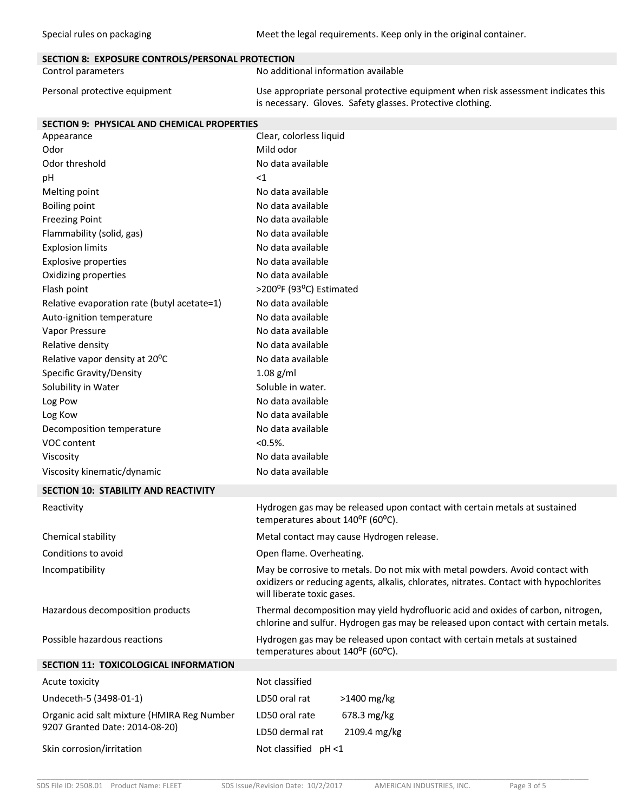Special rules on packaging metalliery on the Meet the legal requirements. Keep only in the original container.

| SECTION 8: EXPOSURE CONTROLS/PERSONAL PROTECTION |                                                                                                                                                 |
|--------------------------------------------------|-------------------------------------------------------------------------------------------------------------------------------------------------|
| Control parameters                               | No additional information available                                                                                                             |
| Personal protective equipment                    | Use appropriate personal protective equipment when risk assessment indicates this<br>is necessary. Gloves. Safety glasses. Protective clothing. |

| <b>SECTION 9: PHYSICAL AND CHEMICAL PROPERTIES</b> |                                                                                                                                                                                                       |
|----------------------------------------------------|-------------------------------------------------------------------------------------------------------------------------------------------------------------------------------------------------------|
| Appearance                                         | Clear, colorless liquid                                                                                                                                                                               |
| Odor                                               | Mild odor                                                                                                                                                                                             |
| Odor threshold                                     | No data available                                                                                                                                                                                     |
| pH                                                 | ${<}1$                                                                                                                                                                                                |
| Melting point                                      | No data available                                                                                                                                                                                     |
| <b>Boiling point</b>                               | No data available                                                                                                                                                                                     |
| <b>Freezing Point</b>                              | No data available                                                                                                                                                                                     |
| Flammability (solid, gas)                          | No data available                                                                                                                                                                                     |
| <b>Explosion limits</b>                            | No data available                                                                                                                                                                                     |
| <b>Explosive properties</b>                        | No data available                                                                                                                                                                                     |
| Oxidizing properties                               | No data available                                                                                                                                                                                     |
| Flash point                                        | >200°F (93°C) Estimated                                                                                                                                                                               |
| Relative evaporation rate (butyl acetate=1)        | No data available                                                                                                                                                                                     |
| Auto-ignition temperature                          | No data available                                                                                                                                                                                     |
| Vapor Pressure                                     | No data available                                                                                                                                                                                     |
| Relative density                                   | No data available                                                                                                                                                                                     |
| Relative vapor density at 20°C                     | No data available                                                                                                                                                                                     |
| Specific Gravity/Density                           | $1.08$ g/ml                                                                                                                                                                                           |
| Solubility in Water                                | Soluble in water.                                                                                                                                                                                     |
| Log Pow                                            | No data available                                                                                                                                                                                     |
| Log Kow                                            | No data available                                                                                                                                                                                     |
| Decomposition temperature                          | No data available                                                                                                                                                                                     |
| VOC content                                        | $< 0.5\%$ .                                                                                                                                                                                           |
| Viscosity                                          | No data available                                                                                                                                                                                     |
| Viscosity kinematic/dynamic                        | No data available                                                                                                                                                                                     |
| SECTION 10: STABILITY AND REACTIVITY               |                                                                                                                                                                                                       |
| Reactivity                                         | Hydrogen gas may be released upon contact with certain metals at sustained<br>temperatures about 140°F (60°C).                                                                                        |
| Chemical stability                                 | Metal contact may cause Hydrogen release.                                                                                                                                                             |
| Conditions to avoid                                | Open flame. Overheating.                                                                                                                                                                              |
| Incompatibility                                    | May be corrosive to metals. Do not mix with metal powders. Avoid contact with<br>oxidizers or reducing agents, alkalis, chlorates, nitrates. Contact with hypochlorites<br>will liberate toxic gases. |
| Hazardous decomposition products                   | Thermal decomposition may yield hydrofluoric acid and oxides of carbon, nitrogen,<br>chlorine and sulfur. Hydrogen gas may be released upon contact with certain metals.                              |
| Possible hazardous reactions                       | Hydrogen gas may be released upon contact with certain metals at sustained<br>temperatures about 140°F (60°C).                                                                                        |
| <b>SECTION 11: TOXICOLOGICAL INFORMATION</b>       |                                                                                                                                                                                                       |
| Acute toxicity                                     | Not classified                                                                                                                                                                                        |
| Undeceth-5 (3498-01-1)                             | LD50 oral rat<br>>1400 mg/kg                                                                                                                                                                          |
| Organic acid salt mixture (HMIRA Reg Number        | LD50 oral rate<br>678.3 mg/kg                                                                                                                                                                         |
| 9207 Granted Date: 2014-08-20)                     | LD50 dermal rat<br>2109.4 mg/kg                                                                                                                                                                       |

#### Skin corrosion/irritation Not classified pH <1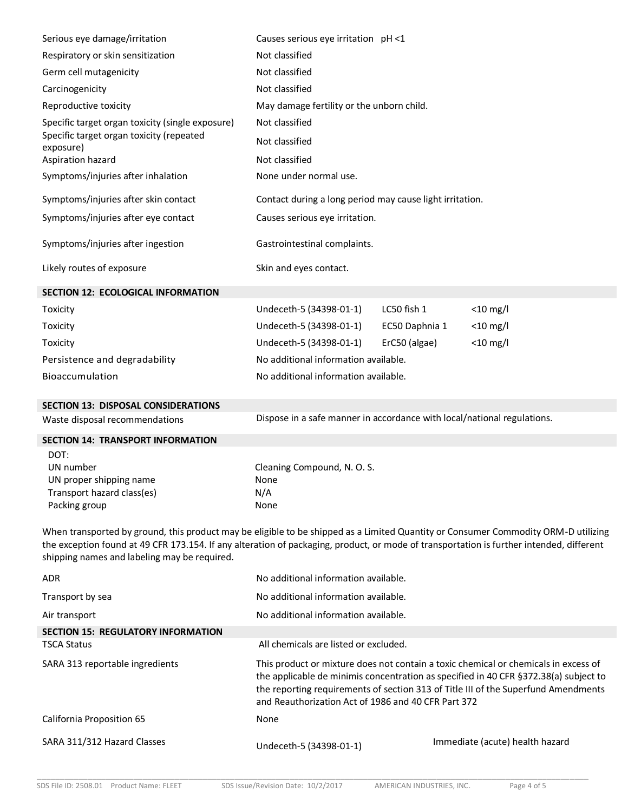| Serious eye damage/irritation                                                                                                                                                                                                                                                                                                  | Causes serious eye irritation pH <1                                     |                |                                                                                                                                                                                                                                                                   |
|--------------------------------------------------------------------------------------------------------------------------------------------------------------------------------------------------------------------------------------------------------------------------------------------------------------------------------|-------------------------------------------------------------------------|----------------|-------------------------------------------------------------------------------------------------------------------------------------------------------------------------------------------------------------------------------------------------------------------|
| Respiratory or skin sensitization                                                                                                                                                                                                                                                                                              | Not classified                                                          |                |                                                                                                                                                                                                                                                                   |
| Germ cell mutagenicity                                                                                                                                                                                                                                                                                                         | Not classified                                                          |                |                                                                                                                                                                                                                                                                   |
| Carcinogenicity                                                                                                                                                                                                                                                                                                                | Not classified                                                          |                |                                                                                                                                                                                                                                                                   |
| Reproductive toxicity                                                                                                                                                                                                                                                                                                          | May damage fertility or the unborn child.                               |                |                                                                                                                                                                                                                                                                   |
| Specific target organ toxicity (single exposure)                                                                                                                                                                                                                                                                               | Not classified                                                          |                |                                                                                                                                                                                                                                                                   |
| Specific target organ toxicity (repeated<br>exposure)                                                                                                                                                                                                                                                                          | Not classified                                                          |                |                                                                                                                                                                                                                                                                   |
| Aspiration hazard                                                                                                                                                                                                                                                                                                              | Not classified                                                          |                |                                                                                                                                                                                                                                                                   |
| Symptoms/injuries after inhalation                                                                                                                                                                                                                                                                                             | None under normal use.                                                  |                |                                                                                                                                                                                                                                                                   |
| Symptoms/injuries after skin contact                                                                                                                                                                                                                                                                                           | Contact during a long period may cause light irritation.                |                |                                                                                                                                                                                                                                                                   |
| Symptoms/injuries after eye contact                                                                                                                                                                                                                                                                                            | Causes serious eye irritation.                                          |                |                                                                                                                                                                                                                                                                   |
| Symptoms/injuries after ingestion                                                                                                                                                                                                                                                                                              | Gastrointestinal complaints.                                            |                |                                                                                                                                                                                                                                                                   |
| Likely routes of exposure                                                                                                                                                                                                                                                                                                      | Skin and eyes contact.                                                  |                |                                                                                                                                                                                                                                                                   |
| <b>SECTION 12: ECOLOGICAL INFORMATION</b>                                                                                                                                                                                                                                                                                      |                                                                         |                |                                                                                                                                                                                                                                                                   |
| Toxicity                                                                                                                                                                                                                                                                                                                       | Undeceth-5 (34398-01-1)                                                 | LC50 fish 1    | $<$ 10 mg/l                                                                                                                                                                                                                                                       |
| Toxicity                                                                                                                                                                                                                                                                                                                       | Undeceth-5 (34398-01-1)                                                 | EC50 Daphnia 1 | $<$ 10 mg/l                                                                                                                                                                                                                                                       |
| Toxicity                                                                                                                                                                                                                                                                                                                       | Undeceth-5 (34398-01-1)                                                 | ErC50 (algae)  | $<$ 10 mg/l                                                                                                                                                                                                                                                       |
| Persistence and degradability                                                                                                                                                                                                                                                                                                  | No additional information available.                                    |                |                                                                                                                                                                                                                                                                   |
| Bioaccumulation                                                                                                                                                                                                                                                                                                                | No additional information available.                                    |                |                                                                                                                                                                                                                                                                   |
| <b>SECTION 13: DISPOSAL CONSIDERATIONS</b>                                                                                                                                                                                                                                                                                     |                                                                         |                |                                                                                                                                                                                                                                                                   |
|                                                                                                                                                                                                                                                                                                                                | Dispose in a safe manner in accordance with local/national regulations. |                |                                                                                                                                                                                                                                                                   |
| Waste disposal recommendations                                                                                                                                                                                                                                                                                                 |                                                                         |                |                                                                                                                                                                                                                                                                   |
| <b>SECTION 14: TRANSPORT INFORMATION</b>                                                                                                                                                                                                                                                                                       |                                                                         |                |                                                                                                                                                                                                                                                                   |
| DOT:                                                                                                                                                                                                                                                                                                                           |                                                                         |                |                                                                                                                                                                                                                                                                   |
| UN number                                                                                                                                                                                                                                                                                                                      | Cleaning Compound, N.O.S.                                               |                |                                                                                                                                                                                                                                                                   |
| UN proper shipping name                                                                                                                                                                                                                                                                                                        | None                                                                    |                |                                                                                                                                                                                                                                                                   |
| Transport hazard class(es)<br>Packing group                                                                                                                                                                                                                                                                                    | N/A<br>None                                                             |                |                                                                                                                                                                                                                                                                   |
| When transported by ground, this product may be eligible to be shipped as a Limited Quantity or Consumer Commodity ORM-D utilizing<br>the exception found at 49 CFR 173.154. If any alteration of packaging, product, or mode of transportation is further intended, different<br>shipping names and labeling may be required. |                                                                         |                |                                                                                                                                                                                                                                                                   |
| <b>ADR</b>                                                                                                                                                                                                                                                                                                                     | No additional information available.                                    |                |                                                                                                                                                                                                                                                                   |
| Transport by sea                                                                                                                                                                                                                                                                                                               | No additional information available.                                    |                |                                                                                                                                                                                                                                                                   |
| Air transport                                                                                                                                                                                                                                                                                                                  | No additional information available.                                    |                |                                                                                                                                                                                                                                                                   |
| <b>SECTION 15: REGULATORY INFORMATION</b>                                                                                                                                                                                                                                                                                      |                                                                         |                |                                                                                                                                                                                                                                                                   |
| <b>TSCA Status</b>                                                                                                                                                                                                                                                                                                             | All chemicals are listed or excluded.                                   |                |                                                                                                                                                                                                                                                                   |
| SARA 313 reportable ingredients                                                                                                                                                                                                                                                                                                | and Reauthorization Act of 1986 and 40 CFR Part 372                     |                | This product or mixture does not contain a toxic chemical or chemicals in excess of<br>the applicable de minimis concentration as specified in 40 CFR §372.38(a) subject to<br>the reporting requirements of section 313 of Title III of the Superfund Amendments |
| California Proposition 65                                                                                                                                                                                                                                                                                                      | None                                                                    |                |                                                                                                                                                                                                                                                                   |